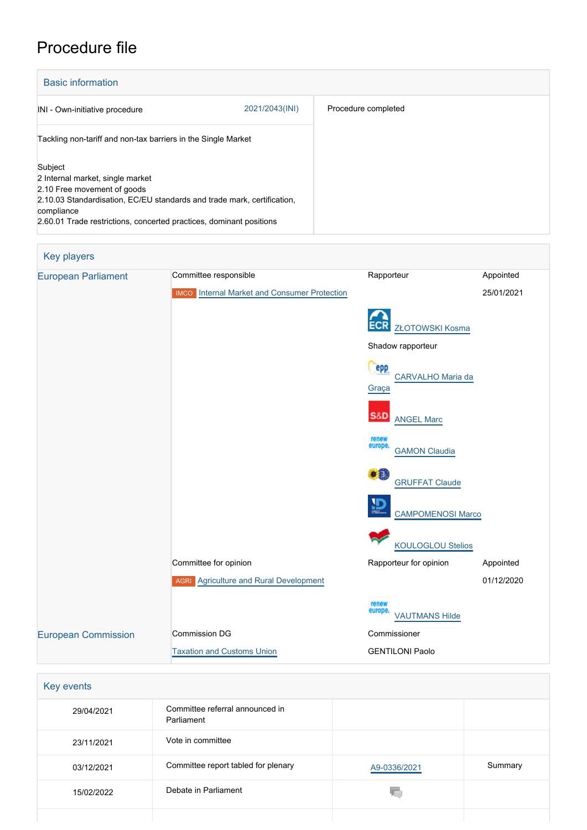# Procedure file

| <b>Basic information</b>                                                                                                                                                                                                                   |                |                     |  |  |
|--------------------------------------------------------------------------------------------------------------------------------------------------------------------------------------------------------------------------------------------|----------------|---------------------|--|--|
| INI - Own-initiative procedure                                                                                                                                                                                                             | 2021/2043(INI) | Procedure completed |  |  |
| Tackling non-tariff and non-tax barriers in the Single Market                                                                                                                                                                              |                |                     |  |  |
| Subject<br>2 Internal market, single market<br>2.10 Free movement of goods<br>2.10.03 Standardisation, EC/EU standards and trade mark, certification,<br>compliance<br>2.60.01 Trade restrictions, concerted practices, dominant positions |                |                     |  |  |

| <b>Key players</b>         |                                                        |                                          |            |
|----------------------------|--------------------------------------------------------|------------------------------------------|------------|
| <b>European Parliament</b> | Committee responsible                                  | Rapporteur                               | Appointed  |
|                            | Internal Market and Consumer Protection<br><b>IMCO</b> |                                          | 25/01/2021 |
|                            |                                                        | <b>ZŁOTOWSKI Kosma</b>                   |            |
|                            |                                                        | Shadow rapporteur                        |            |
|                            |                                                        | epp<br>CARVALHO Maria da<br>Graça        |            |
|                            |                                                        | S&D<br><b>ANGEL Marc</b>                 |            |
|                            |                                                        | renew<br>europe.<br><b>GAMON Claudia</b> |            |
|                            |                                                        | ٥Ë<br><b>GRUFFAT Claude</b>              |            |
|                            |                                                        | <b>CAMPOMENOSI Marco</b>                 |            |
|                            |                                                        | <b>KOULOGLOU Stelios</b>                 |            |
|                            | Committee for opinion                                  | Rapporteur for opinion                   | Appointed  |
|                            | <b>AGRI</b> Agriculture and Rural Development          |                                          | 01/12/2020 |
|                            |                                                        | renew<br>europe<br><b>VAUTMANS Hilde</b> |            |
| <b>European Commission</b> | <b>Commission DG</b>                                   | Commissioner                             |            |
|                            | <b>Taxation and Customs Union</b>                      | <b>GENTILONI Paolo</b>                   |            |

| Key events |                                               |              |         |
|------------|-----------------------------------------------|--------------|---------|
| 29/04/2021 | Committee referral announced in<br>Parliament |              |         |
| 23/11/2021 | Vote in committee                             |              |         |
| 03/12/2021 | Committee report tabled for plenary           | A9-0336/2021 | Summary |
| 15/02/2022 | Debate in Parliament                          |              |         |
|            |                                               |              |         |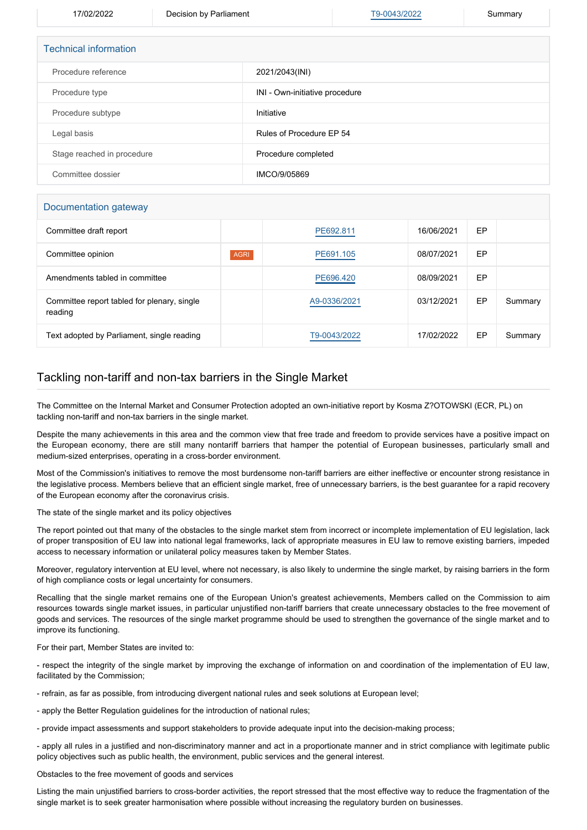17/02/2022 Decision by Parliament [T9-0043/2022](https://www.europarl.europa.eu/doceo/document/TA-9-2022-0043_EN.html) Summary

| <b>Technical information</b> |                                |  |  |
|------------------------------|--------------------------------|--|--|
| Procedure reference          | 2021/2043(INI)                 |  |  |
| Procedure type               | INI - Own-initiative procedure |  |  |
| Procedure subtype            | Initiative                     |  |  |
| Legal basis                  | Rules of Procedure EP 54       |  |  |
| Stage reached in procedure   | Procedure completed            |  |  |
| Committee dossier            | IMCO/9/05869                   |  |  |

#### Documentation gateway

| Committee draft report                                 |             | PE692.811    | 16/06/2021 | EP |         |
|--------------------------------------------------------|-------------|--------------|------------|----|---------|
| Committee opinion                                      | <b>AGRI</b> | PE691.105    | 08/07/2021 | EP |         |
| Amendments tabled in committee                         |             | PE696.420    | 08/09/2021 | EP |         |
| Committee report tabled for plenary, single<br>reading |             | A9-0336/2021 | 03/12/2021 | EP | Summary |
| Text adopted by Parliament, single reading             |             | T9-0043/2022 | 17/02/2022 | EP | Summary |

# Tackling non-tariff and non-tax barriers in the Single Market

The Committee on the Internal Market and Consumer Protection adopted an own-initiative report by Kosma Z?OTOWSKI (ECR, PL) on tackling non-tariff and non-tax barriers in the single market.

Despite the many achievements in this area and the common view that free trade and freedom to provide services have a positive impact on the European economy, there are still many nontariff barriers that hamper the potential of European businesses, particularly small and medium-sized enterprises, operating in a cross-border environment.

Most of the Commission's initiatives to remove the most burdensome non-tariff barriers are either ineffective or encounter strong resistance in the legislative process. Members believe that an efficient single market, free of unnecessary barriers, is the best guarantee for a rapid recovery of the European economy after the coronavirus crisis.

The state of the single market and its policy objectives

The report pointed out that many of the obstacles to the single market stem from incorrect or incomplete implementation of EU legislation, lack of proper transposition of EU law into national legal frameworks, lack of appropriate measures in EU law to remove existing barriers, impeded access to necessary information or unilateral policy measures taken by Member States.

Moreover, regulatory intervention at EU level, where not necessary, is also likely to undermine the single market, by raising barriers in the form of high compliance costs or legal uncertainty for consumers.

Recalling that the single market remains one of the European Union's greatest achievements, Members called on the Commission to aim resources towards single market issues, in particular unjustified non-tariff barriers that create unnecessary obstacles to the free movement of goods and services. The resources of the single market programme should be used to strengthen the governance of the single market and to improve its functioning.

For their part, Member States are invited to:

- respect the integrity of the single market by improving the exchange of information on and coordination of the implementation of EU law, facilitated by the Commission;

- refrain, as far as possible, from introducing divergent national rules and seek solutions at European level;

- apply the Better Regulation guidelines for the introduction of national rules;

- provide impact assessments and support stakeholders to provide adequate input into the decision-making process;

- apply all rules in a justified and non-discriminatory manner and act in a proportionate manner and in strict compliance with legitimate public policy objectives such as public health, the environment, public services and the general interest.

Obstacles to the free movement of goods and services

Listing the main unjustified barriers to cross-border activities, the report stressed that the most effective way to reduce the fragmentation of the single market is to seek greater harmonisation where possible without increasing the regulatory burden on businesses.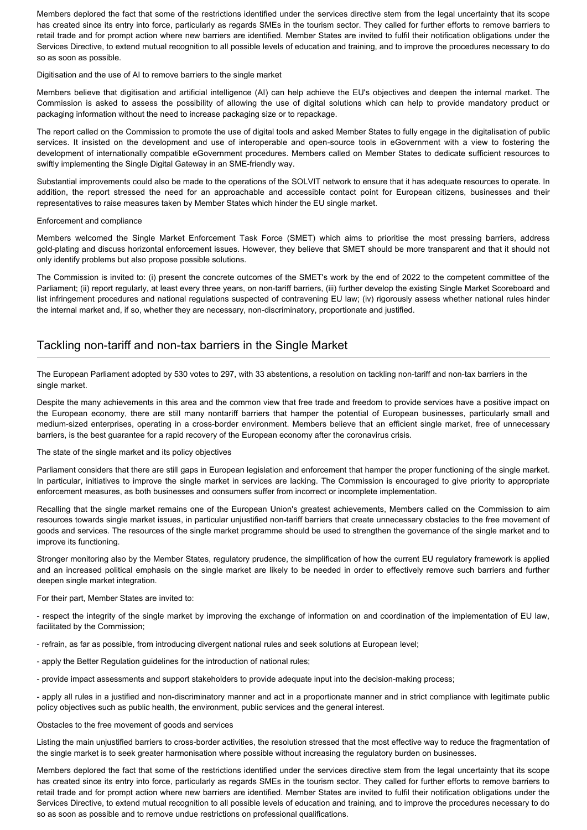Members deplored the fact that some of the restrictions identified under the services directive stem from the legal uncertainty that its scope has created since its entry into force, particularly as regards SMEs in the tourism sector. They called for further efforts to remove barriers to retail trade and for prompt action where new barriers are identified. Member States are invited to fulfil their notification obligations under the Services Directive, to extend mutual recognition to all possible levels of education and training, and to improve the procedures necessary to do so as soon as possible.

Digitisation and the use of AI to remove barriers to the single market

Members believe that digitisation and artificial intelligence (AI) can help achieve the EU's objectives and deepen the internal market. The Commission is asked to assess the possibility of allowing the use of digital solutions which can help to provide mandatory product or packaging information without the need to increase packaging size or to repackage.

The report called on the Commission to promote the use of digital tools and asked Member States to fully engage in the digitalisation of public services. It insisted on the development and use of interoperable and open-source tools in eGovernment with a view to fostering the development of internationally compatible eGovernment procedures. Members called on Member States to dedicate sufficient resources to swiftly implementing the Single Digital Gateway in an SME-friendly way.

Substantial improvements could also be made to the operations of the SOLVIT network to ensure that it has adequate resources to operate. In addition, the report stressed the need for an approachable and accessible contact point for European citizens, businesses and their representatives to raise measures taken by Member States which hinder the EU single market.

## Enforcement and compliance

Members welcomed the Single Market Enforcement Task Force (SMET) which aims to prioritise the most pressing barriers, address gold-plating and discuss horizontal enforcement issues. However, they believe that SMET should be more transparent and that it should not only identify problems but also propose possible solutions.

The Commission is invited to: (i) present the concrete outcomes of the SMET's work by the end of 2022 to the competent committee of the Parliament; (ii) report regularly, at least every three years, on non-tariff barriers, (iii) further develop the existing Single Market Scoreboard and list infringement procedures and national regulations suspected of contravening EU law; (iv) rigorously assess whether national rules hinder the internal market and, if so, whether they are necessary, non-discriminatory, proportionate and justified.

# Tackling non-tariff and non-tax barriers in the Single Market

The European Parliament adopted by 530 votes to 297, with 33 abstentions, a resolution on tackling non-tariff and non-tax barriers in the single market.

Despite the many achievements in this area and the common view that free trade and freedom to provide services have a positive impact on the European economy, there are still many nontariff barriers that hamper the potential of European businesses, particularly small and medium-sized enterprises, operating in a cross-border environment. Members believe that an efficient single market, free of unnecessary barriers, is the best guarantee for a rapid recovery of the European economy after the coronavirus crisis.

## The state of the single market and its policy objectives

Parliament considers that there are still gaps in European legislation and enforcement that hamper the proper functioning of the single market. In particular, initiatives to improve the single market in services are lacking. The Commission is encouraged to give priority to appropriate enforcement measures, as both businesses and consumers suffer from incorrect or incomplete implementation.

Recalling that the single market remains one of the European Union's greatest achievements, Members called on the Commission to aim resources towards single market issues, in particular unjustified non-tariff barriers that create unnecessary obstacles to the free movement of goods and services. The resources of the single market programme should be used to strengthen the governance of the single market and to improve its functioning.

Stronger monitoring also by the Member States, regulatory prudence, the simplification of how the current EU regulatory framework is applied and an increased political emphasis on the single market are likely to be needed in order to effectively remove such barriers and further deepen single market integration.

For their part, Member States are invited to:

- respect the integrity of the single market by improving the exchange of information on and coordination of the implementation of EU law, facilitated by the Commission;

- refrain, as far as possible, from introducing divergent national rules and seek solutions at European level;

- apply the Better Regulation guidelines for the introduction of national rules;
- provide impact assessments and support stakeholders to provide adequate input into the decision-making process;

- apply all rules in a justified and non-discriminatory manner and act in a proportionate manner and in strict compliance with legitimate public policy objectives such as public health, the environment, public services and the general interest.

Obstacles to the free movement of goods and services

Listing the main unjustified barriers to cross-border activities, the resolution stressed that the most effective way to reduce the fragmentation of the single market is to seek greater harmonisation where possible without increasing the regulatory burden on businesses.

Members deplored the fact that some of the restrictions identified under the services directive stem from the legal uncertainty that its scope has created since its entry into force, particularly as regards SMEs in the tourism sector. They called for further efforts to remove barriers to retail trade and for prompt action where new barriers are identified. Member States are invited to fulfil their notification obligations under the Services Directive, to extend mutual recognition to all possible levels of education and training, and to improve the procedures necessary to do so as soon as possible and to remove undue restrictions on professional qualifications.